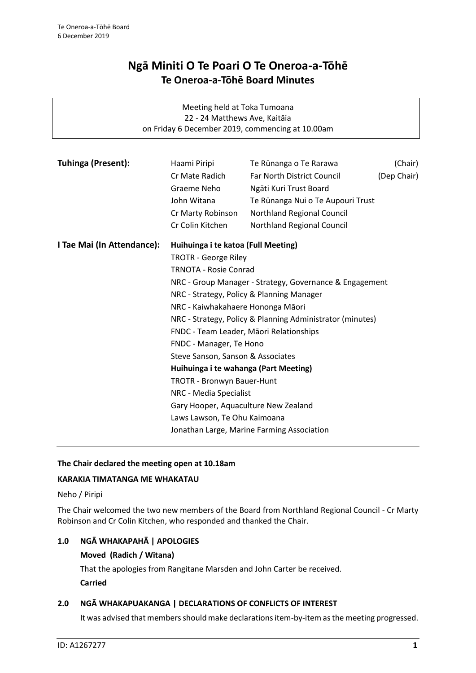# **Ngā Miniti O Te Poari O Te Oneroa-a-Tōhē Te Oneroa-a-Tōhē Board Minutes**

| Meeting held at Toka Tumoana                                                      |                                                                     |                                                      |                        |  |  |
|-----------------------------------------------------------------------------------|---------------------------------------------------------------------|------------------------------------------------------|------------------------|--|--|
| 22 - 24 Matthews Ave, Kaitāia<br>on Friday 6 December 2019, commencing at 10.00am |                                                                     |                                                      |                        |  |  |
|                                                                                   |                                                                     |                                                      |                        |  |  |
| Tuhinga (Present):                                                                |                                                                     |                                                      |                        |  |  |
|                                                                                   | Haami Piripi<br>Cr Mate Radich                                      | Te Rūnanga o Te Rarawa<br>Far North District Council | (Chair)<br>(Dep Chair) |  |  |
|                                                                                   | Graeme Neho                                                         | Ngāti Kuri Trust Board                               |                        |  |  |
|                                                                                   | John Witana                                                         | Te Rūnanga Nui o Te Aupouri Trust                    |                        |  |  |
|                                                                                   |                                                                     |                                                      |                        |  |  |
|                                                                                   | Cr Marty Robinson<br>Cr Colin Kitchen                               | Northland Regional Council                           |                        |  |  |
|                                                                                   |                                                                     | Northland Regional Council                           |                        |  |  |
| I Tae Mai (In Attendance):                                                        | Huihuinga i te katoa (Full Meeting)                                 |                                                      |                        |  |  |
|                                                                                   | <b>TROTR - George Riley</b>                                         |                                                      |                        |  |  |
|                                                                                   | <b>TRNOTA - Rosie Conrad</b>                                        |                                                      |                        |  |  |
|                                                                                   | NRC - Group Manager - Strategy, Governance & Engagement             |                                                      |                        |  |  |
|                                                                                   | NRC - Strategy, Policy & Planning Manager                           |                                                      |                        |  |  |
|                                                                                   | NRC - Kaiwhakahaere Hononga Māori                                   |                                                      |                        |  |  |
|                                                                                   | NRC - Strategy, Policy & Planning Administrator (minutes)           |                                                      |                        |  |  |
|                                                                                   | FNDC - Team Leader, Māori Relationships                             |                                                      |                        |  |  |
|                                                                                   | FNDC - Manager, Te Hono                                             |                                                      |                        |  |  |
|                                                                                   | Steve Sanson, Sanson & Associates                                   |                                                      |                        |  |  |
|                                                                                   | Huihuinga i te wahanga (Part Meeting)<br>TROTR - Bronwyn Bauer-Hunt |                                                      |                        |  |  |
|                                                                                   |                                                                     |                                                      |                        |  |  |
|                                                                                   | NRC - Media Specialist                                              |                                                      |                        |  |  |
|                                                                                   | Gary Hooper, Aquaculture New Zealand                                |                                                      |                        |  |  |
|                                                                                   | Laws Lawson, Te Ohu Kaimoana                                        |                                                      |                        |  |  |
| Jonathan Large, Marine Farming Association                                        |                                                                     |                                                      |                        |  |  |
|                                                                                   |                                                                     |                                                      |                        |  |  |

# **The Chair declared the meeting open at 10.18am**

# **KARAKIA TIMATANGA ME WHAKATAU**

Neho / Piripi

The Chair welcomed the two new members of the Board from Northland Regional Council - Cr Marty Robinson and Cr Colin Kitchen, who responded and thanked the Chair.

# **1.0 NGĀ WHAKAPAHĀ | APOLOGIES**

## **Moved (Radich / Witana)**

That the apologies from Rangitane Marsden and John Carter be received.

**Carried**

# **2.0 NGĀ WHAKAPUAKANGA | DECLARATIONS OF CONFLICTS OF INTEREST**

It was advised that members should make declarations item-by-item as the meeting progressed.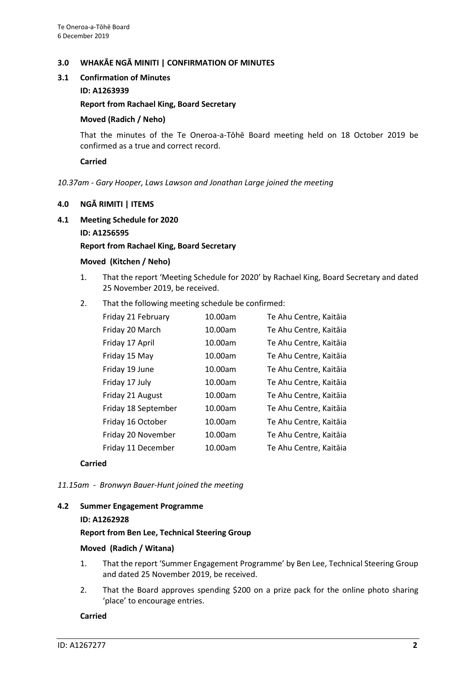## **3.0 WHAKĀE NGĀ MINITI | CONFIRMATION OF MINUTES**

## **3.1 Confirmation of Minutes**

## **ID: A1263939**

## **Report from Rachael King, Board Secretary**

## **Moved (Radich / Neho)**

That the minutes of the Te Oneroa-a-Tōhē Board meeting held on 18 October 2019 be confirmed as a true and correct record.

## **Carried**

#### *10.37am - Gary Hooper, Laws Lawson and Jonathan Large joined the meeting*

## **4.0 NGĀ RIMITI | ITEMS**

**4.1 Meeting Schedule for 2020**

## **ID: A1256595**

## **Report from Rachael King, Board Secretary**

#### **Moved (Kitchen / Neho)**

- 1. That the report 'Meeting Schedule for 2020' by Rachael King, Board Secretary and dated 25 November 2019, be received.
- 2. That the following meeting schedule be confirmed:

| Friday 21 February  | 10.00am | Te Ahu Centre, Kaitāia |
|---------------------|---------|------------------------|
| Friday 20 March     | 10.00am | Te Ahu Centre, Kaitāia |
| Friday 17 April     | 10.00am | Te Ahu Centre, Kaitāia |
| Friday 15 May       | 10.00am | Te Ahu Centre, Kaitāia |
| Friday 19 June      | 10.00am | Te Ahu Centre, Kaitāia |
| Friday 17 July      | 10.00am | Te Ahu Centre, Kaitāia |
| Friday 21 August    | 10.00am | Te Ahu Centre, Kaitāia |
| Friday 18 September | 10.00am | Te Ahu Centre, Kaitāia |
| Friday 16 October   | 10.00am | Te Ahu Centre, Kaitāia |
| Friday 20 November  | 10.00am | Te Ahu Centre, Kaitāia |
| Friday 11 December  | 10.00am | Te Ahu Centre, Kaitāia |
|                     |         |                        |

#### **Carried**

*11.15am - Bronwyn Bauer-Hunt joined the meeting*

#### **4.2 Summer Engagement Programme**

#### **ID: A1262928**

#### **Report from Ben Lee, Technical Steering Group**

#### **Moved (Radich / Witana)**

- 1. That the report 'Summer Engagement Programme' by Ben Lee, Technical Steering Group and dated 25 November 2019, be received.
- 2. That the Board approves spending \$200 on a prize pack for the online photo sharing 'place' to encourage entries.

## **Carried**